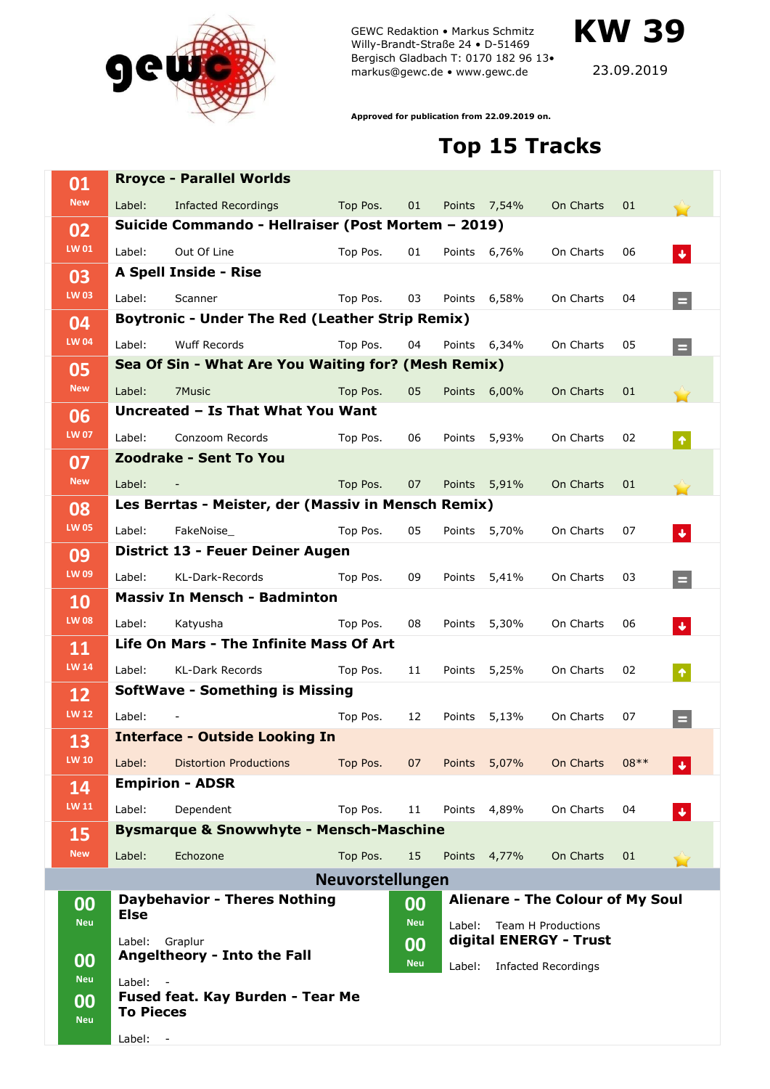

GEWC Redaktion • Markus Schmitz Willy-Brandt-Straße 24 • D-51469 Bergisch Gladbach T: 0170 182 96 13• markus@gewc.de • www.gewc.de

**KW 39**

23.09.2019

**Approved for publication from 22.09.2019 on.**

## **Top 15 Tracks**

| 01                 |                                                        | <b>Rroyce - Parallel Worlds</b>                     |                         |            |                                     |                                      |                                         |        |                      |  |
|--------------------|--------------------------------------------------------|-----------------------------------------------------|-------------------------|------------|-------------------------------------|--------------------------------------|-----------------------------------------|--------|----------------------|--|
| <b>New</b>         | Label:                                                 | <b>Infacted Recordings</b>                          | Top Pos.                | 01         |                                     | Points 7,54%                         | On Charts                               | 01     |                      |  |
| 02                 | Suicide Commando - Hellraiser (Post Mortem - 2019)     |                                                     |                         |            |                                     |                                      |                                         |        |                      |  |
| LW 01              | Label:                                                 | Out Of Line                                         | Top Pos.                | 01         |                                     | Points 6,76%                         | On Charts                               | 06     | $\ddot{\phantom{1}}$ |  |
| 03                 |                                                        | A Spell Inside - Rise                               |                         |            |                                     |                                      |                                         |        |                      |  |
| <b>LW 03</b>       | Label:                                                 | Scanner                                             | Top Pos.                | 03         |                                     | Points 6,58%                         | On Charts                               | 04     | $\equiv$             |  |
| 04                 | <b>Boytronic - Under The Red (Leather Strip Remix)</b> |                                                     |                         |            |                                     |                                      |                                         |        |                      |  |
| <b>LW 04</b>       | Label:                                                 | <b>Wuff Records</b>                                 | Top Pos.                | 04         |                                     | Points 6,34%                         | On Charts                               | 05     | $\blacksquare$       |  |
| 05                 | Sea Of Sin - What Are You Waiting for? (Mesh Remix)    |                                                     |                         |            |                                     |                                      |                                         |        |                      |  |
| <b>New</b>         | Label:                                                 | 7Music                                              | Top Pos.                | 05         | Points                              | 6,00%                                | On Charts                               | 01     |                      |  |
| 06<br><b>LW 07</b> | Uncreated - Is That What You Want                      |                                                     |                         |            |                                     |                                      |                                         |        |                      |  |
|                    | Label:                                                 | Conzoom Records                                     | Top Pos.                | 06         | Points                              | 5,93%                                | On Charts                               | 02     | $\pmb{\Uparrow}$     |  |
| 07                 |                                                        | Zoodrake - Sent To You                              |                         |            |                                     |                                      |                                         |        |                      |  |
| <b>New</b>         | Label:                                                 |                                                     | Top Pos.                | 07         |                                     | Points 5,91%                         | On Charts                               | 01     |                      |  |
| 08                 |                                                        | Les Berrtas - Meister, der (Massiv in Mensch Remix) |                         |            |                                     |                                      |                                         |        |                      |  |
| <b>LW 05</b>       | Label:                                                 | FakeNoise                                           | Top Pos.                | 05         | Points                              | 5,70%                                | On Charts                               | 07     | $\blacklozenge$      |  |
| 09                 |                                                        | District 13 - Feuer Deiner Augen                    |                         |            |                                     |                                      |                                         |        |                      |  |
| LW 09              | Label:                                                 | KL-Dark-Records                                     | Top Pos.                | 09         | Points                              | 5,41%                                | On Charts                               | 03     | $\equiv$             |  |
| 10                 | <b>Massiv In Mensch - Badminton</b>                    |                                                     |                         |            |                                     |                                      |                                         |        |                      |  |
| <b>LW 08</b>       | Label:                                                 | Katyusha                                            | Top Pos.                | 08         | Points                              | 5,30%                                | On Charts                               | 06     | $\blacklozenge$      |  |
| 11                 |                                                        | <b>Life On Mars - The Infinite Mass Of Art</b>      |                         |            |                                     |                                      |                                         |        |                      |  |
| <b>LW 14</b>       | Label:                                                 | <b>KL-Dark Records</b>                              | Top Pos.                | 11         | Points                              | 5,25%                                | On Charts                               | 02     | $\blacklozenge$      |  |
| 12                 | <b>SoftWave - Something is Missing</b>                 |                                                     |                         |            |                                     |                                      |                                         |        |                      |  |
| <b>LW 12</b>       | Label:                                                 |                                                     | Top Pos.                | 12         | Points                              | 5,13%                                | On Charts                               | 07     | $=$                  |  |
| 13                 |                                                        | <b>Interface - Outside Looking In</b>               |                         |            |                                     |                                      |                                         |        |                      |  |
| <b>LW 10</b>       | Label:                                                 | <b>Distortion Productions</b>                       | Top Pos.                | 07         | Points                              | 5,07%                                | On Charts                               | $08**$ |                      |  |
| 14                 |                                                        | <b>Empirion - ADSR</b>                              |                         |            |                                     |                                      |                                         |        |                      |  |
| <b>LW 11</b>       | Label:                                                 | Dependent                                           | Top Pos.                | 11         |                                     | Points 4,89%                         | On Charts                               | 04     | $\blacklozenge$      |  |
| 15                 |                                                        | <b>Bysmarque &amp; Snowwhyte - Mensch-Maschine</b>  |                         |            |                                     |                                      |                                         |        |                      |  |
| <b>New</b>         | Label:                                                 | Echozone                                            | Top Pos.                | 15         |                                     | Points 4,77%                         | On Charts                               | 01     |                      |  |
|                    |                                                        |                                                     | <b>Neuvorstellungen</b> |            |                                     |                                      |                                         |        |                      |  |
| 00                 |                                                        | <b>Daybehavior - Theres Nothing</b>                 |                         | 00         |                                     |                                      | <b>Alienare - The Colour of My Soul</b> |        |                      |  |
| <b>Neu</b>         | <b>Else</b>                                            |                                                     |                         | <b>Neu</b> | Label:<br><b>Team H Productions</b> |                                      |                                         |        |                      |  |
|                    | Label:                                                 | Graplur                                             |                         | 00         |                                     | digital ENERGY - Trust               |                                         |        |                      |  |
| 00<br><b>Neu</b>   | Angeltheory - Into the Fall                            |                                                     |                         | <b>Neu</b> |                                     | Label:<br><b>Infacted Recordings</b> |                                         |        |                      |  |
| 00                 | Label:<br>Fused feat. Kay Burden - Tear Me             |                                                     |                         |            |                                     |                                      |                                         |        |                      |  |
| <b>Neu</b>         | <b>To Pieces</b>                                       |                                                     |                         |            |                                     |                                      |                                         |        |                      |  |
|                    | Label: -                                               |                                                     |                         |            |                                     |                                      |                                         |        |                      |  |